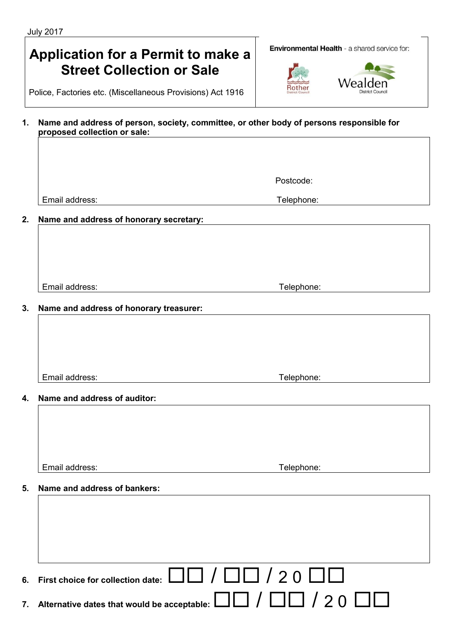# **Application for a Permit to make a Street Collection or Sale**

Police, Factories etc. (Miscellaneous Provisions) Act 1916

#### **1. Name and address of person, society, committee, or other body of persons responsible for proposed collection or sale:**

Email address: Telephone: Telephone: Telephone: Telephone: Telephone: Telephone: Telephone: Telephone: Telephone: Telephone: Telephone: Telephone: Telephone: Telephone: Telephone: Telephone: Telephone: Telephone: Telephone

**2. Name and address of honorary secretary:**

Email address: Telephone:

**3. Name and address of honorary treasurer:**

Email address: Telephone:

**4. Name and address of auditor:**

Email address: Telephone:

## **5. Name and address of bankers:**

|    | 6. First choice for collection date: $\Box$ $\Box$ / $\Box$ / 2 0 $\Box$             |
|----|--------------------------------------------------------------------------------------|
| 7. | Alternative dates that would be acceptable: $\Box\Box$ / $\Box\Box$ / 2 0 $\Box\Box$ |







Postcode: